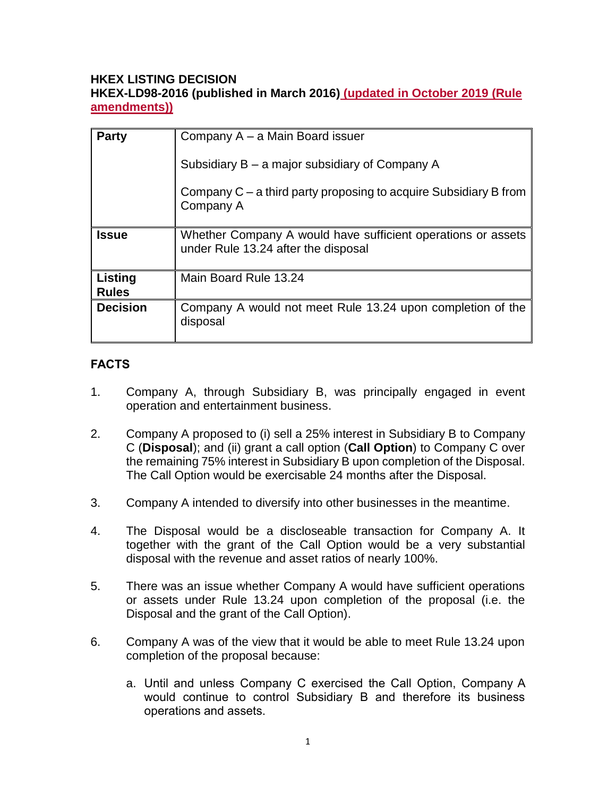## **HKEX LISTING DECISION HKEX-LD98-2016 (published in March 2016) (updated in October 2019 (Rule amendments))**

| <b>Party</b>            | Company A – a Main Board issuer                                                                     |
|-------------------------|-----------------------------------------------------------------------------------------------------|
|                         | Subsidiary B – a major subsidiary of Company A                                                      |
|                         | Company $C - a$ third party proposing to acquire Subsidiary B from<br>Company A                     |
| <b>Issue</b>            | Whether Company A would have sufficient operations or assets<br>under Rule 13.24 after the disposal |
| Listing<br><b>Rules</b> | Main Board Rule 13.24                                                                               |
| <b>Decision</b>         | Company A would not meet Rule 13.24 upon completion of the<br>disposal                              |

# **FACTS**

- 1. Company A, through Subsidiary B, was principally engaged in event operation and entertainment business.
- 2. Company A proposed to (i) sell a 25% interest in Subsidiary B to Company C (**Disposal**); and (ii) grant a call option (**Call Option**) to Company C over the remaining 75% interest in Subsidiary B upon completion of the Disposal. The Call Option would be exercisable 24 months after the Disposal.
- 3. Company A intended to diversify into other businesses in the meantime.
- 4. The Disposal would be a discloseable transaction for Company A. It together with the grant of the Call Option would be a very substantial disposal with the revenue and asset ratios of nearly 100%.
- 5. There was an issue whether Company A would have sufficient operations or assets under Rule 13.24 upon completion of the proposal (i.e. the Disposal and the grant of the Call Option).
- 6. Company A was of the view that it would be able to meet Rule 13.24 upon completion of the proposal because:
	- a. Until and unless Company C exercised the Call Option, Company A would continue to control Subsidiary B and therefore its business operations and assets.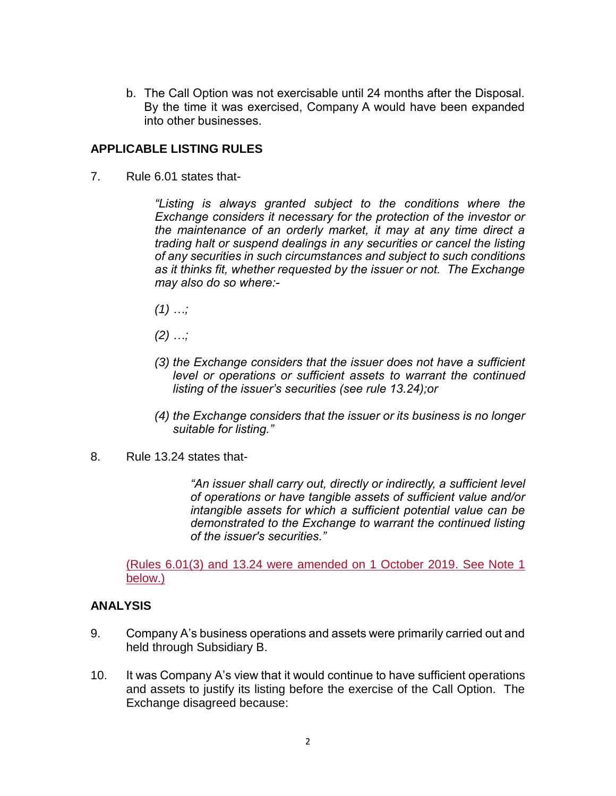b. The Call Option was not exercisable until 24 months after the Disposal. By the time it was exercised, Company A would have been expanded into other businesses.

### **APPLICABLE LISTING RULES**

7. Rule 6.01 states that-

*"Listing is always granted subject to the conditions where the Exchange considers it necessary for the protection of the investor or the maintenance of an orderly market, it may at any time direct a trading halt or suspend dealings in any securities or cancel the listing of any securities in such circumstances and subject to such conditions as it thinks fit, whether requested by the issuer or not. The Exchange may also do so where:-*

- *(1) …;*
- *(2) …;*
- *(3) the Exchange considers that the issuer does not have a sufficient level or operations or sufficient assets to warrant the continued listing of the issuer's securities (see rule 13.24);or*
- *(4) the Exchange considers that the issuer or its business is no longer suitable for listing."*
- 8. Rule 13.24 states that-

*"An issuer shall carry out, directly or indirectly, a sufficient level of operations or have tangible assets of sufficient value and/or intangible assets for which a sufficient potential value can be demonstrated to the Exchange to warrant the continued listing of the issuer's securities."*

(Rules 6.01(3) and 13.24 were amended on 1 October 2019. See Note 1 below.)

#### **ANALYSIS**

- 9. Company A's business operations and assets were primarily carried out and held through Subsidiary B.
- 10. It was Company A's view that it would continue to have sufficient operations and assets to justify its listing before the exercise of the Call Option. The Exchange disagreed because: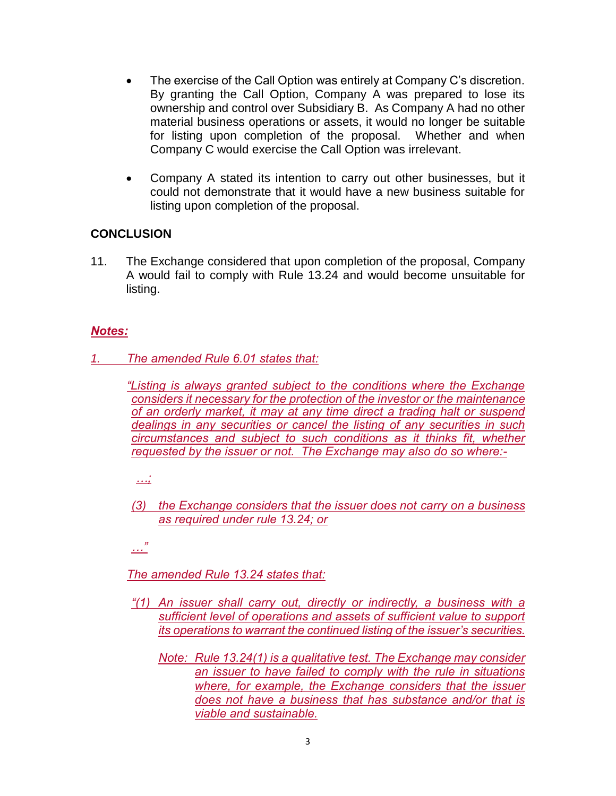- The exercise of the Call Option was entirely at Company C's discretion. By granting the Call Option, Company A was prepared to lose its ownership and control over Subsidiary B. As Company A had no other material business operations or assets, it would no longer be suitable for listing upon completion of the proposal. Whether and when Company C would exercise the Call Option was irrelevant.
- Company A stated its intention to carry out other businesses, but it could not demonstrate that it would have a new business suitable for listing upon completion of the proposal.

## **CONCLUSION**

11. The Exchange considered that upon completion of the proposal, Company A would fail to comply with Rule 13.24 and would become unsuitable for listing.

## *Notes:*

*1. The amended Rule 6.01 states that:*

*"Listing is always granted subject to the conditions where the Exchange considers it necessary for the protection of the investor or the maintenance of an orderly market, it may at any time direct a trading halt or suspend dealings in any securities or cancel the listing of any securities in such circumstances and subject to such conditions as it thinks fit, whether requested by the issuer or not. The Exchange may also do so where:-*

*…;* 

*(3) the Exchange considers that the issuer does not carry on a business as required under rule 13.24; or*

*…"*

*The amended Rule 13.24 states that:*

- *"(1) An issuer shall carry out, directly or indirectly, a business with a sufficient level of operations and assets of sufficient value to support its operations to warrant the continued listing of the issuer's securities.*
	- *Note: Rule 13.24(1) is a qualitative test. The Exchange may consider an issuer to have failed to comply with the rule in situations where, for example, the Exchange considers that the issuer does not have a business that has substance and/or that is viable and sustainable.*